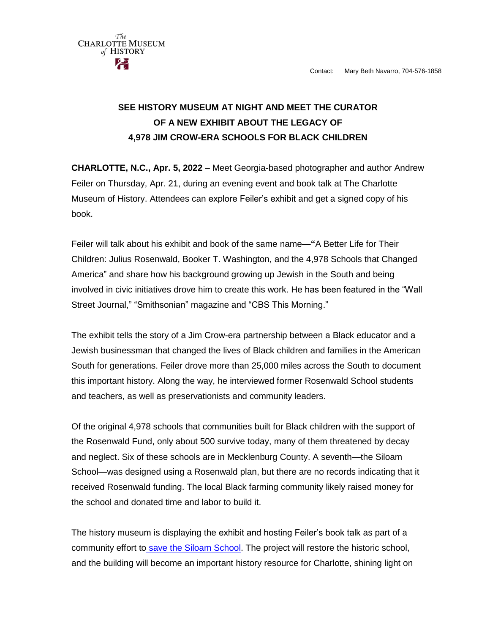

## **SEE HISTORY MUSEUM AT NIGHT AND MEET THE CURATOR OF A NEW EXHIBIT ABOUT THE LEGACY OF 4,978 JIM CROW-ERA SCHOOLS FOR BLACK CHILDREN**

**CHARLOTTE, N.C., Apr. 5, 2022** – Meet Georgia-based photographer and author Andrew Feiler on Thursday, Apr. 21, during an evening event and book talk at The Charlotte Museum of History. Attendees can explore Feiler's exhibit and get a signed copy of his book.

Feiler will talk about his exhibit and book of the same name—**"**A Better Life for Their Children: Julius Rosenwald, Booker T. Washington, and the 4,978 Schools that Changed America" and share how his background growing up Jewish in the South and being involved in civic initiatives drove him to create this work. He has been featured in the "Wall Street Journal," "Smithsonian" magazine and "CBS This Morning."

The exhibit tells the story of a Jim Crow-era partnership between a Black educator and a Jewish businessman that changed the lives of Black children and families in the American South for generations. Feiler drove more than 25,000 miles across the South to document this important history. Along the way, he interviewed former Rosenwald School students and teachers, as well as preservationists and community leaders.

Of the original 4,978 schools that communities built for Black children with the support of the Rosenwald Fund, only about 500 survive today, many of them threatened by decay and neglect. Six of these schools are in Mecklenburg County. A seventh—the Siloam School—was designed using a Rosenwald plan, but there are no records indicating that it received Rosenwald funding. The local Black farming community likely raised money for the school and donated time and labor to build it.

The history museum is displaying the exhibit and hosting Feiler's book talk as part of a community effort to [save the Siloam School.](https://charlottemuseum.org/siloam/) The project will restore the historic school, and the building will become an important history resource for Charlotte, shining light on